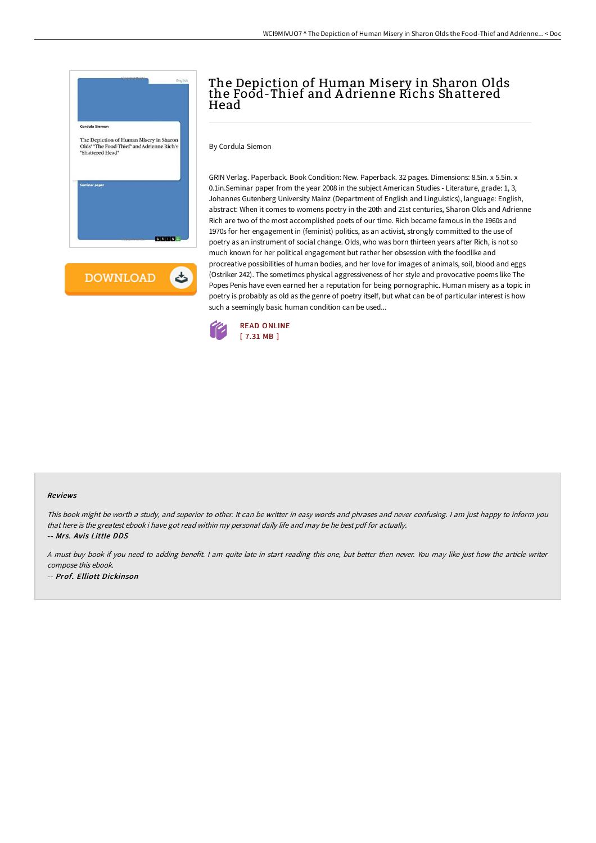



## The Depiction of Human Misery in Sharon Olds the Food-Thief and A drienne Richs Shattered Head

By Cordula Siemon

GRIN Verlag. Paperback. Book Condition: New. Paperback. 32 pages. Dimensions: 8.5in. x 5.5in. x 0.1in.Seminar paper from the year 2008 in the subject American Studies - Literature, grade: 1, 3, Johannes Gutenberg University Mainz (Department of English and Linguistics), language: English, abstract: When it comes to womens poetry in the 20th and 21st centuries, Sharon Olds and Adrienne Rich are two of the most accomplished poets of our time. Rich became famous in the 1960s and 1970s for her engagement in (feminist) politics, as an activist, strongly committed to the use of poetry as an instrument of social change. Olds, who was born thirteen years after Rich, is not so much known for her political engagement but rather her obsession with the foodlike and procreative possibilities of human bodies, and her love for images of animals, soil, blood and eggs (Ostriker 242). The sometimes physical aggressiveness of her style and provocative poems like The Popes Penis have even earned her a reputation for being pornographic. Human misery as a topic in poetry is probably as old as the genre of poetry itself, but what can be of particular interest is how such a seemingly basic human condition can be used...



## Reviews

This book might be worth <sup>a</sup> study, and superior to other. It can be writter in easy words and phrases and never confusing. <sup>I</sup> am just happy to inform you that here is the greatest ebook i have got read within my personal daily life and may be he best pdf for actually. -- Mrs. Avis Little DDS

<sup>A</sup> must buy book if you need to adding benefit. <sup>I</sup> am quite late in start reading this one, but better then never. You may like just how the article writer compose this ebook. -- Prof. Elliott Dickinson